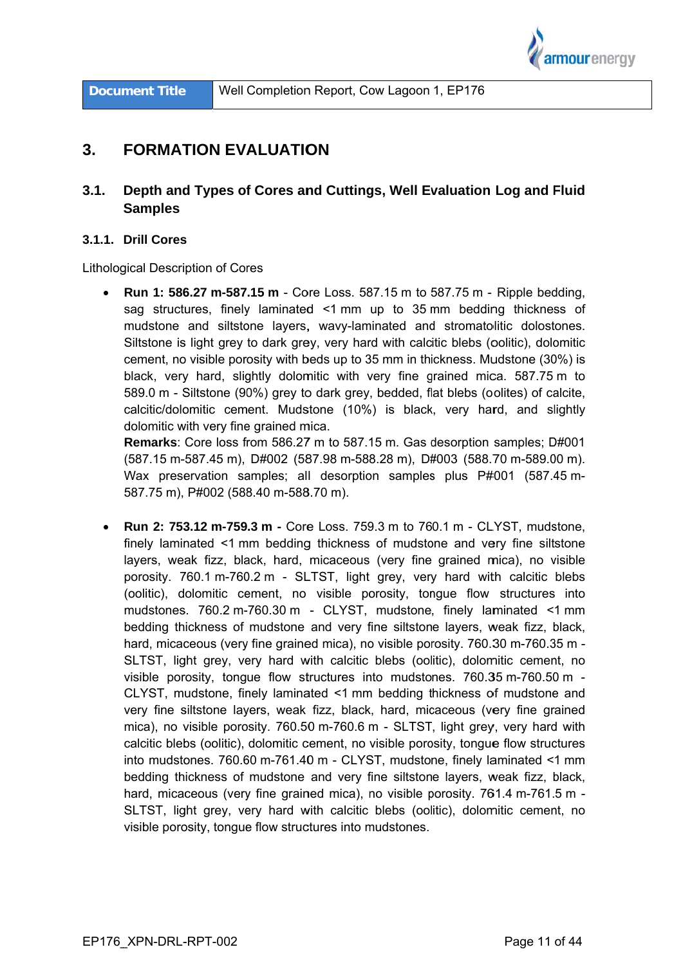

#### $3<sub>-</sub>$ **FORMATION EVALUATION**

#### $3.1.$ Depth and Types of Cores and Cuttings, Well Evaluation Log and Fluid **Samples**

#### 3.1.1. Drill Cores

**Lithological Description of Cores** 

**Run 1: 586.27 m-587.15 m** - Core Loss. 587.15 m to 587.75 m - Ripple bedding, sag structures, finely laminated <1 mm up to 35 mm bedding thickness of mudstone and siltstone layers, wavy-laminated and stromatolitic dolostones. Siltstone is light grey to dark grey, very hard with calcitic blebs (oolitic), dolomitic cement, no visible porosity with beds up to 35 mm in thickness. Mudstone (30%) is black, very hard, slightly dolomitic with very fine grained mica. 587.75 m to 589.0 m - Siltstone (90%) grey to dark grey, bedded, flat blebs (oolites) of calcite, calcitic/dolomitic cement. Mudstone (10%) is black, very hard, and slightly dolomitic with very fine grained mica.

Remarks: Core loss from 586.27 m to 587.15 m. Gas desorption samples; D#001 (587.15 m-587.45 m), D#002 (587.98 m-588.28 m), D#003 (588.70 m-589.00 m). Wax preservation samples; all desorption samples plus P#001 (587.45 m-587.75 m), P#002 (588.40 m-588.70 m).

 $\bullet$ Run 2: 753.12 m-759.3 m - Core Loss. 759.3 m to 760.1 m - CLYST, mudstone, finely laminated <1 mm bedding thickness of mudstone and very fine siltstone layers, weak fizz, black, hard, micaceous (very fine grained mica), no visible porosity. 760.1 m-760.2 m - SLTST, light grey, very hard with calcitic blebs (oolitic), dolomitic cement, no visible porosity, tongue flow structures into mudstones. 760.2 m-760.30 m - CLYST, mudstone, finely laminated <1 mm bedding thickness of mudstone and very fine siltstone layers, weak fizz, black, hard, micaceous (very fine grained mica), no visible porosity. 760.30 m-760.35 m -SLTST, light grey, very hard with calcitic blebs (oolitic), dolomitic cement, no visible porosity, tonque flow structures into mudstones. 760.35 m-760.50 m -CLYST, mudstone, finely laminated <1 mm bedding thickness of mudstone and very fine siltstone layers, weak fizz, black, hard, micaceous (very fine grained mica), no visible porosity. 760.50 m-760.6 m - SLTST, light grey, very hard with calcitic blebs (oolitic), dolomitic cement, no visible porosity, tongue flow structures into mudstones. 760.60 m-761.40 m - CLYST, mudstone, finely laminated <1 mm bedding thickness of mudstone and very fine siltstone layers, weak fizz, black, hard, micaceous (very fine grained mica), no visible porosity. 761.4 m-761.5 m -SLTST, light grey, very hard with calcitic blebs (oolitic), dolomitic cement, no visible porosity, tongue flow structures into mudstones.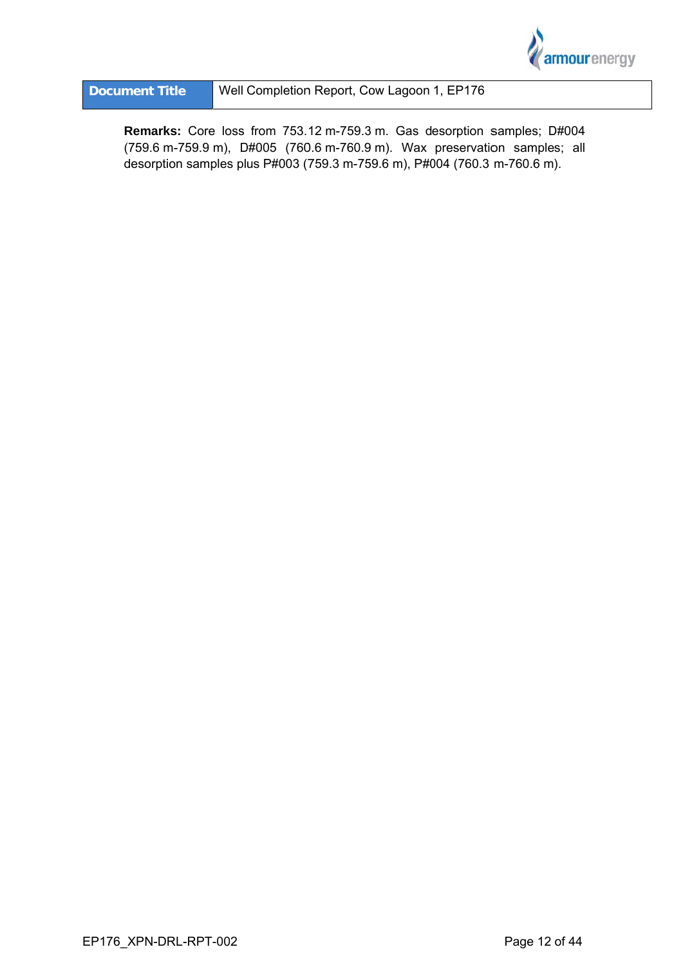

Remarks: Core loss from 753.12 m-759.3 m. Gas desorption samples; D#004 (759.6 m-759.9 m), D#005 (760.6 m-760.9 m). Wax preservation samples; all desorption samples plus P#003 (759.3 m-759.6 m), P#004 (760.3 m-760.6 m).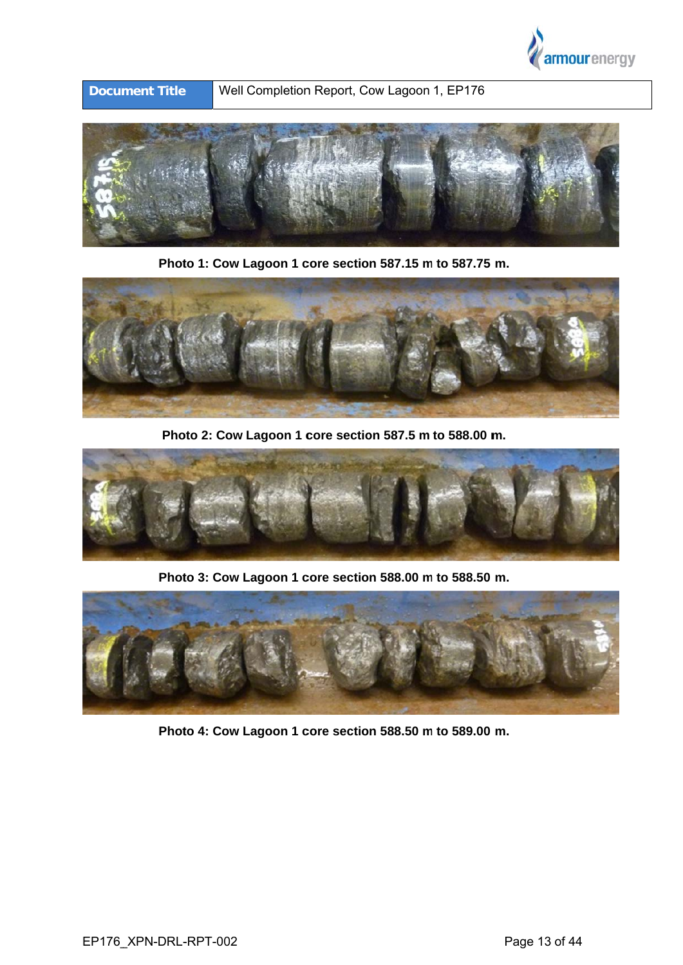

**Docum ent Title** e Well Completion Report, Cow Lagoon 1, EP176



**Photo 1: Cow Lagoon 1 core section 587.15 m to 587.75 m.** 



**Photo 2: Cow Lagoon 1 core section 587.5 m to 588.00 m.** 



**Photo 3: Cow Lagoon 1 core section 588.00 m to 588.50 m.** 



**Photo 4: Cow Lagoon 1 core section 588.50 m to 589.00 m.**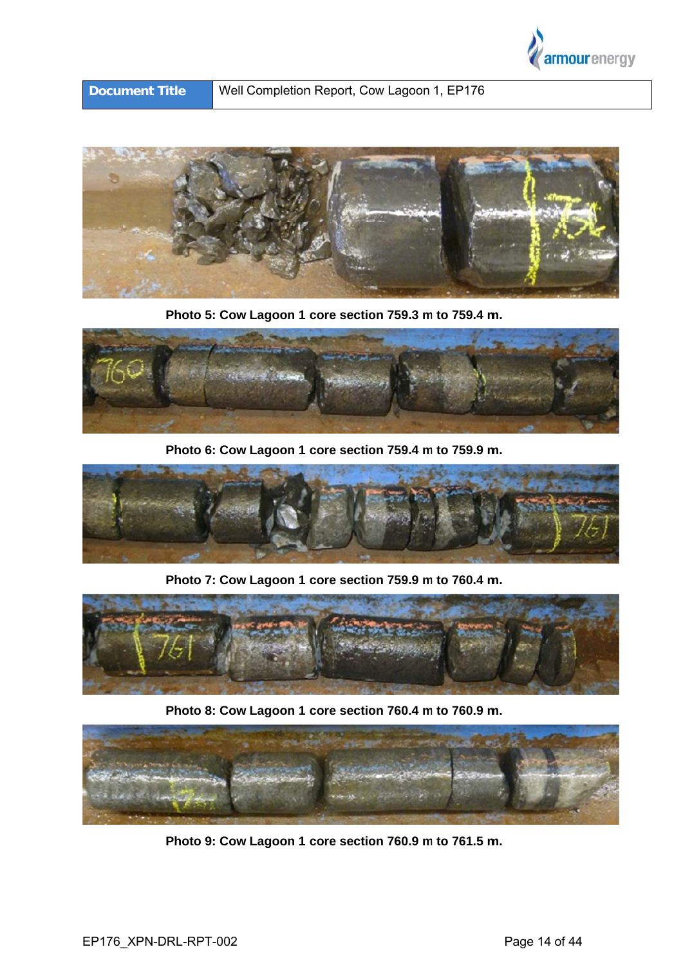



**Photo 5: Cow Lagoon 1 core section 759.3 m to 759.4 m.** 



**Photo 6: Cow Lagoon 1 core section 759.4 m to 759.9 m.** 



**Photo 7: Cow Lagoon 1 core section 759.9 m to 760.4 m.** 



**Photo 8: Cow Lagoon 1 core section 760.4 m to 760.9 m.** 



**Photo 9: Cow Lagoon 1 core section 760.9 m to 761.5 m.**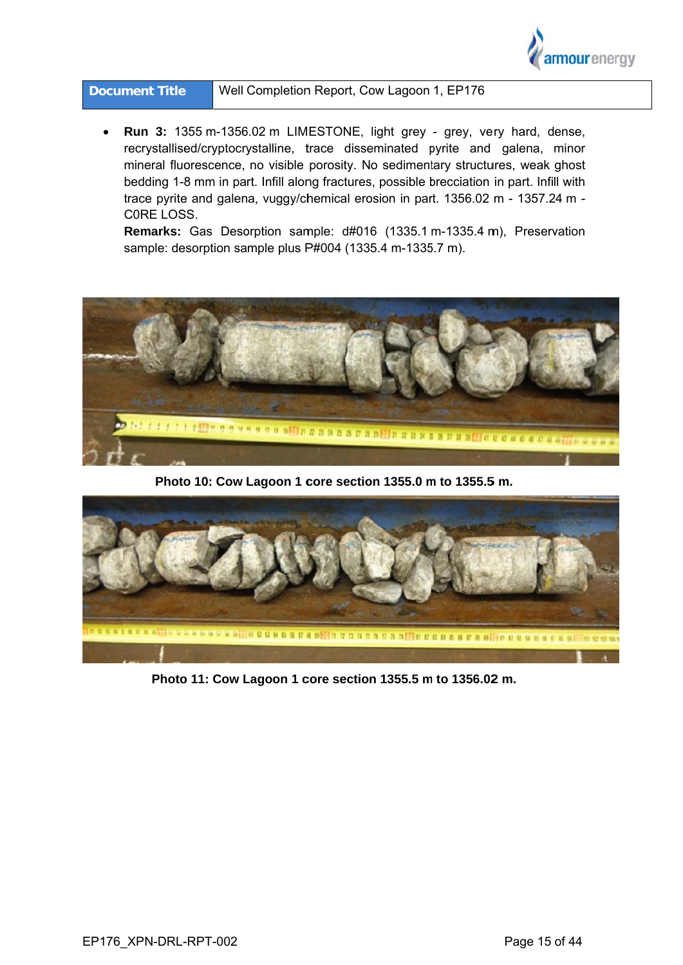

| <b>Document Title</b> | Well Completion Report, Cow Lagoon 1, EP176 |
|-----------------------|---------------------------------------------|
|-----------------------|---------------------------------------------|

Run 3: 1355 m-1356.02 m LIMESTONE, light grey - grey, very hard, dense, recrystallised/cryptocrystalline, trace disseminated pyrite and galena, minor mineral fluorescence, no visible porosity. No sedimentary structures, weak ghost bedding 1-8 mm in part. Infill along fractures, possible brecciation in part. Infill with trace pyrite and galena, vuggy/chemical erosion in part. 1356.02 m - 1357.24 m -CORE LOSS.

Remarks: Gas Desorption sample: d#016 (1335.1 m-1335.4 m), Preservation sample: desorption sample plus P#004 (1335.4 m-1335.7 m).



Photo 10: Cow Lagoon 1 core section 1355.0 m to 1355.5 m.



Photo 11: Cow Lagoon 1 core section 1355.5 m to 1356.02 m.